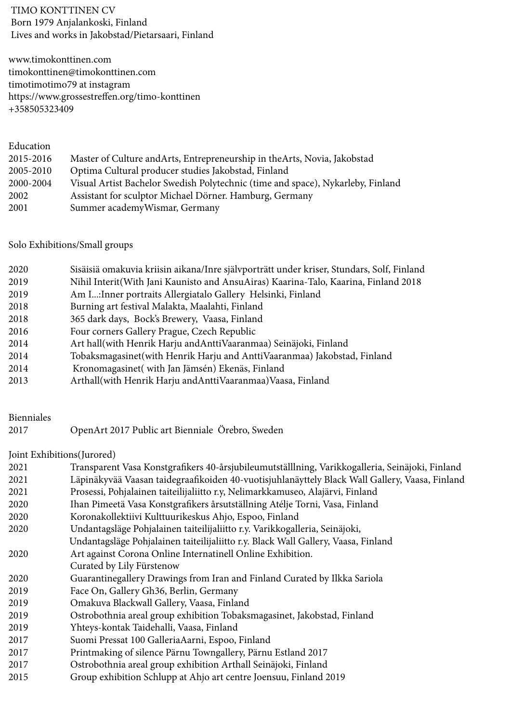TIMO KONTTINEN CV Born 1979 Anjalankoski, Finland Lives and works in Jakobstad/Pietarsaari, Finland

www.timokonttinen.com timokonttinen@timokonttinen.com timotimotimo79 at instagram https://www.grossestreffen.org/timo-konttinen +358505323409

| Education |                                                                                 |
|-----------|---------------------------------------------------------------------------------|
| 2015-2016 | Master of Culture and Arts, Entrepreneurship in the Arts, Novia, Jakobstad      |
| 2005-2010 | Optima Cultural producer studies Jakobstad, Finland                             |
| 2000-2004 | Visual Artist Bachelor Swedish Polytechnic (time and space), Nykarleby, Finland |
| 2002      | Assistant for sculptor Michael Dörner. Hamburg, Germany                         |
| 2001      | Summer academyWismar, Germany                                                   |

## Solo Exhibitions/Small groups

| 2020 | Sisäisiä omakuvia kriisin aikana/Inre självporträtt under kriser, Stundars, Solf, Finland |
|------|-------------------------------------------------------------------------------------------|
| 2019 | Nihil Interit(With Jani Kaunisto and AnsuAiras) Kaarina-Talo, Kaarina, Finland 2018       |
| 2019 | Am I: Inner portraits Allergiatalo Gallery Helsinki, Finland                              |
| 2018 | Burning art festival Malakta, Maalahti, Finland                                           |
| 2018 | 365 dark days, Bock's Brewery, Vaasa, Finland                                             |
| 2016 | Four corners Gallery Prague, Czech Republic                                               |
| 2014 | Art hall(with Henrik Harju and Antti Vaaranmaa) Seinäjoki, Finland                        |
| 2014 | Tobaksmagasinet(with Henrik Harju and AnttiVaaranmaa) Jakobstad, Finland                  |
| 2014 | Kronomagasinet (with Jan Jämsén) Ekenäs, Finland                                          |
| 2013 | Arthall(with Henrik Harju andAnttiVaaranmaa)Vaasa, Finland                                |

## Bienniales

| 2017 | OpenArt 2017 Public art Bienniale Örebro, Sweden |  |
|------|--------------------------------------------------|--|
|------|--------------------------------------------------|--|

## Joint Exhibitions(Jurored)

| Transparent Vasa Konstgrafikers 40-årsjubileumutställlning, Varikkogalleria, Seinäjoki, Finland |
|-------------------------------------------------------------------------------------------------|
| Läpinäkyvää Vaasan taidegraafikoiden 40-vuotisjuhlanäyttely Black Wall Gallery, Vaasa, Finland  |
| Prosessi, Pohjalainen taiteilijaliitto r.y, Nelimarkkamuseo, Alajärvi, Finland                  |
| Ihan Pimeetä Vasa Konstgrafikers årsutställning Atélje Torni, Vasa, Finland                     |
| Koronakollektiivi Kulttuurikeskus Ahjo, Espoo, Finland                                          |
| Undantagsläge Pohjalainen taiteilijaliitto r.y. Varikkogalleria, Seinäjoki,                     |
| Undantagsläge Pohjalainen taiteilijaliitto r.y. Black Wall Gallery, Vaasa, Finland              |
| Art against Corona Online Internatinell Online Exhibition.                                      |
| Curated by Lily Fürstenow                                                                       |
| Guarantinegallery Drawings from Iran and Finland Curated by Ilkka Sariola                       |
| Face On, Gallery Gh36, Berlin, Germany                                                          |
| Omakuva Blackwall Gallery, Vaasa, Finland                                                       |
| Ostrobothnia areal group exhibition Tobaksmagasinet, Jakobstad, Finland                         |
| Yhteys-kontak Taidehalli, Vaasa, Finland                                                        |
| Suomi Pressat 100 GalleriaAarni, Espoo, Finland                                                 |
| Printmaking of silence Pärnu Towngallery, Pärnu Estland 2017                                    |
| Ostrobothnia areal group exhibition Arthall Seinäjoki, Finland                                  |
| Group exhibition Schlupp at Ahjo art centre Joensuu, Finland 2019                               |
|                                                                                                 |